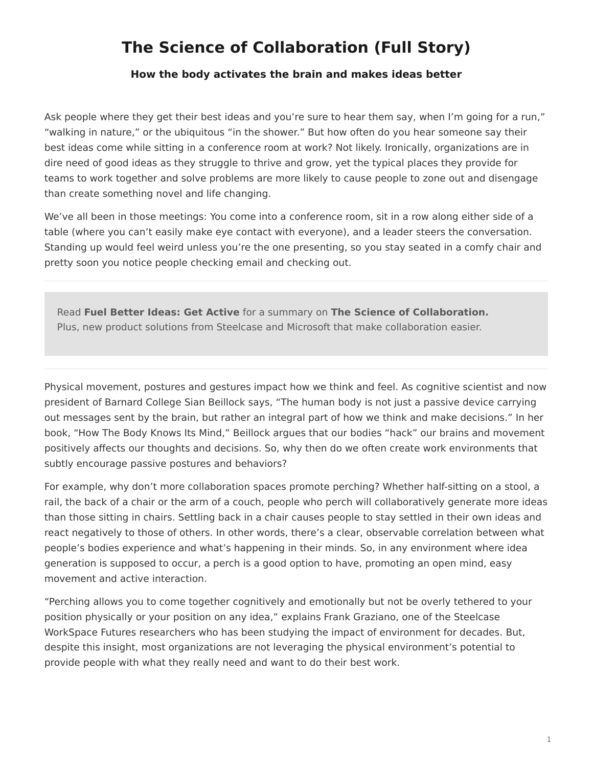# <span id="page-0-0"></span>**The Science of Collaboration (Full Story)**

#### **How the body activates the brain and makes ideas better**

Ask people where they get their best ideas and you're sure to hear them say, when I'm going for a run," "walking in nature," or the ubiquitous "in the shower." But how often do you hear someone say their best ideas come while sitting in a conference room at work? Not likely. Ironically, organizations are in dire need of good ideas as they struggle to thrive and grow, yet the typical places they provide for teams to work together and solve problems are more likely to cause people to zone out and disengage than create something novel and life changing.

We've all been in those meetings: You come into a conference room, sit in a row along either side of a table (where you can't easily make eye contact with everyone), and a leader steers the conversation. Standing up would feel weird unless you're the one presenting, so you stay seated in a comfy chair and pretty soon you notice people checking email and checking out.

Read **Fuel Better Ideas: Get Active** for a summary on **The Science of Collaboration.** Plus, new product solutions from Steelcase and Microsoft that make collaboration easier.

Physical movement, postures and gestures impact how we think and feel. As cognitive scientist and now president of Barnard College Sian Beillock says, "The human body is not just a passive device carrying out messages sent by the brain, but rather an integral part of how we think and make decisions." In her book, "How The Body Knows Its Mind," Beillock argues that our bodies "hack" our brains and movement positively affects our thoughts and decisions. So, why then do we often create work environments that subtly encourage passive postures and behaviors?

For example, why don't more collaboration spaces promote perching? Whether half-sitting on a stool, a rail, the back of a chair or the arm of a couch, people who perch will collaboratively generate more ideas than those sitting in chairs. Settling back in a chair causes people to stay settled in their own ideas and react negatively to those of others. In other words, there's a clear, observable correlation between what people's bodies experience and what's happening in their minds. So, in any environment where idea generation is supposed to occur, a perch is a good option to have, promoting an open mind, easy movement and active interaction.

"Perching allows you to come together cognitively and emotionally but not be overly tethered to your position physically or your position on any idea," explains Frank Graziano, one of the Steelcase WorkSpace Futures researchers who has been studying the impact of environment for decades. But, despite this insight, most organizations are not leveraging the physical environment's potential to provide people with what they really need and want to do their best work.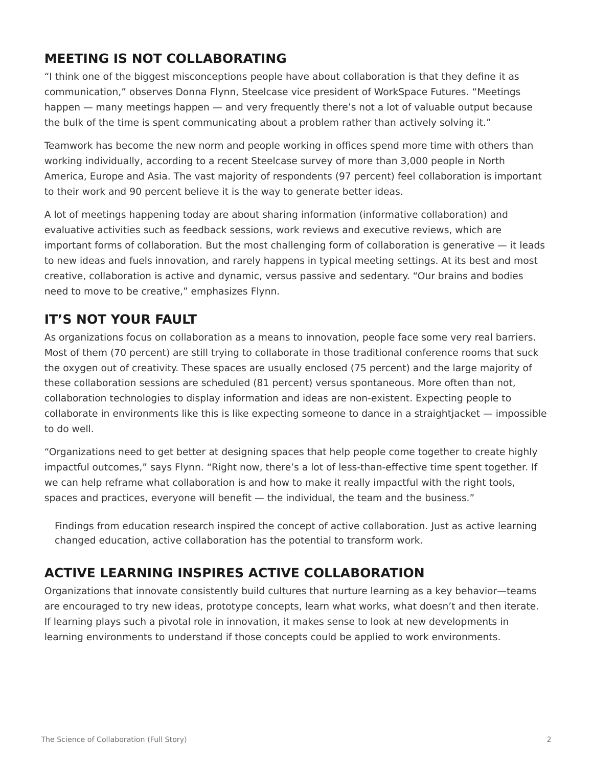## **MEETING IS NOT COLLABORATING**

"I think one of the biggest misconceptions people have about collaboration is that they define it as communication," observes Donna Flynn, Steelcase vice president of WorkSpace Futures. "Meetings happen — many meetings happen — and very frequently there's not a lot of valuable output because the bulk of the time is spent communicating about a problem rather than actively solving it."

Teamwork has become the new norm and people working in offices spend more time with others than working individually, according to a recent Steelcase survey of more than 3,000 people in North America, Europe and Asia. The vast majority of respondents (97 percent) feel collaboration is important to their work and 90 percent believe it is the way to generate better ideas.

A lot of meetings happening today are about sharing information (informative collaboration) and evaluative activities such as feedback sessions, work reviews and executive reviews, which are important forms of collaboration. But the most challenging form of collaboration is generative — it leads to new ideas and fuels innovation, and rarely happens in typical meeting settings. At its best and most creative, collaboration is active and dynamic, versus passive and sedentary. "Our brains and bodies need to move to be creative," emphasizes Flynn.

## **IT'S NOT YOUR FAULT**

As organizations focus on collaboration as a means to innovation, people face some very real barriers. Most of them (70 percent) are still trying to collaborate in those traditional conference rooms that suck the oxygen out of creativity. These spaces are usually enclosed (75 percent) and the large majority of these collaboration sessions are scheduled (81 percent) versus spontaneous. More often than not, collaboration technologies to display information and ideas are non-existent. Expecting people to collaborate in environments like this is like expecting someone to dance in a straightjacket — impossible to do well.

"Organizations need to get better at designing spaces that help people come together to create highly impactful outcomes," says Flynn. "Right now, there's a lot of less-than-effective time spent together. If we can help reframe what collaboration is and how to make it really impactful with the right tools, spaces and practices, everyone will benefit — the individual, the team and the business."

Findings from education research inspired the concept of active collaboration. Just as active learning changed education, active collaboration has the potential to transform work.

## **ACTIVE LEARNING INSPIRES ACTIVE COLLABORATION**

Organizations that innovate consistently build cultures that nurture learning as a key behavior—teams are encouraged to try new ideas, prototype concepts, learn what works, what doesn't and then iterate. If learning plays such a pivotal role in innovation, it makes sense to look at new developments in learning environments to understand if those concepts could be applied to work environments.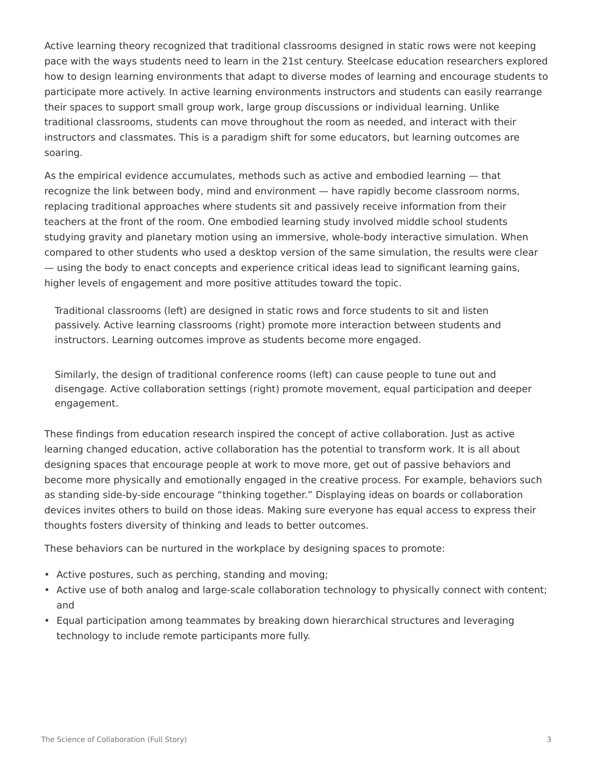Active learning theory recognized that traditional classrooms designed in static rows were not keeping pace with the ways students need to learn in the 21st century. Steelcase education researchers explored how to design learning environments that adapt to diverse modes of learning and encourage students to participate more actively. In active learning environments instructors and students can easily rearrange their spaces to support small group work, large group discussions or individual learning. Unlike traditional classrooms, students can move throughout the room as needed, and interact with their instructors and classmates. This is a paradigm shift for some educators, but learning outcomes are soaring.

As the empirical evidence accumulates, methods such as active and embodied learning — that recognize the link between body, mind and environment — have rapidly become classroom norms, replacing traditional approaches where students sit and passively receive information from their teachers at the front of the room. One embodied learning study involved middle school students studying gravity and planetary motion using an immersive, whole-body interactive simulation. When compared to other students who used a desktop version of the same simulation, the results were clear — using the body to enact concepts and experience critical ideas lead to significant learning gains, higher levels of engagement and more positive attitudes toward the topic.

Traditional classrooms (left) are designed in static rows and force students to sit and listen passively. Active learning classrooms (right) promote more interaction between students and instructors. Learning outcomes improve as students become more engaged.

Similarly, the design of traditional conference rooms (left) can cause people to tune out and disengage. Active collaboration settings (right) promote movement, equal participation and deeper engagement.

These findings from education research inspired the concept of active collaboration. Just as active learning changed education, active collaboration has the potential to transform work. It is all about designing spaces that encourage people at work to move more, get out of passive behaviors and become more physically and emotionally engaged in the creative process. For example, behaviors such as standing side-by-side encourage "thinking together." Displaying ideas on boards or collaboration devices invites others to build on those ideas. Making sure everyone has equal access to express their thoughts fosters diversity of thinking and leads to better outcomes.

These behaviors can be nurtured in the workplace by designing spaces to promote:

- Active postures, such as perching, standing and moving;
- Active use of both analog and large-scale collaboration technology to physically connect with content; and
- Equal participation among teammates by breaking down hierarchical structures and leveraging technology to include remote participants more fully.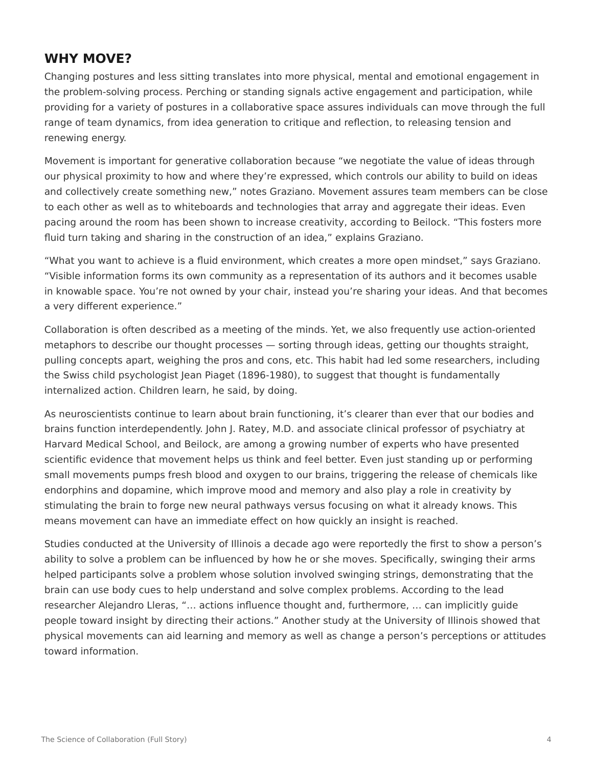### **WHY MOVE?**

Changing postures and less sitting translates into more physical, mental and emotional engagement in the problem-solving process. Perching or standing signals active engagement and participation, while providing for a variety of postures in a collaborative space assures individuals can move through the full range of team dynamics, from idea generation to critique and reflection, to releasing tension and renewing energy.

Movement is important for generative collaboration because "we negotiate the value of ideas through our physical proximity to how and where they're expressed, which controls our ability to build on ideas and collectively create something new," notes Graziano. Movement assures team members can be close to each other as well as to whiteboards and technologies that array and aggregate their ideas. Even pacing around the room has been shown to increase creativity, according to Beilock. "This fosters more fluid turn taking and sharing in the construction of an idea," explains Graziano.

"What you want to achieve is a fluid environment, which creates a more open mindset," says Graziano. "Visible information forms its own community as a representation of its authors and it becomes usable in knowable space. You're not owned by your chair, instead you're sharing your ideas. And that becomes a very different experience."

Collaboration is often described as a meeting of the minds. Yet, we also frequently use action-oriented metaphors to describe our thought processes — sorting through ideas, getting our thoughts straight, pulling concepts apart, weighing the pros and cons, etc. This habit had led some researchers, including the Swiss child psychologist Jean Piaget (1896-1980), to suggest that thought is fundamentally internalized action. Children learn, he said, by doing.

As neuroscientists continue to learn about brain functioning, it's clearer than ever that our bodies and brains function interdependently. John J. Ratey, M.D. and associate clinical professor of psychiatry at Harvard Medical School, and Beilock, are among a growing number of experts who have presented scientific evidence that movement helps us think and feel better. Even just standing up or performing small movements pumps fresh blood and oxygen to our brains, triggering the release of chemicals like endorphins and dopamine, which improve mood and memory and also play a role in creativity by stimulating the brain to forge new neural pathways versus focusing on what it already knows. This means movement can have an immediate effect on how quickly an insight is reached.

Studies conducted at the University of Illinois a decade ago were reportedly the first to show a person's ability to solve a problem can be influenced by how he or she moves. Specifically, swinging their arms helped participants solve a problem whose solution involved swinging strings, demonstrating that the brain can use body cues to help understand and solve complex problems. According to the lead researcher Alejandro Lleras, "… actions influence thought and, furthermore, … can implicitly guide people toward insight by directing their actions." Another study at the University of Illinois showed that physical movements can aid learning and memory as well as change a person's perceptions or attitudes toward information.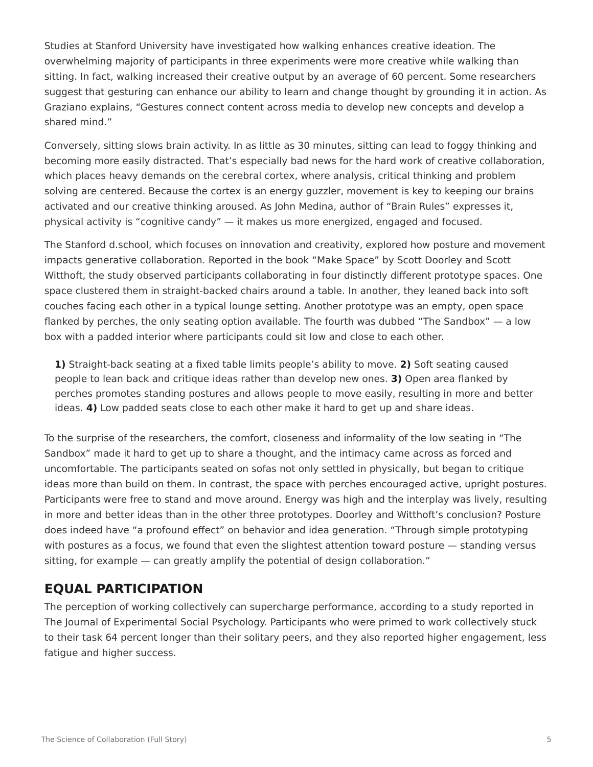Studies at Stanford University have investigated how walking enhances creative ideation. The overwhelming majority of participants in three experiments were more creative while walking than sitting. In fact, walking increased their creative output by an average of 60 percent. Some researchers suggest that gesturing can enhance our ability to learn and change thought by grounding it in action. As Graziano explains, "Gestures connect content across media to develop new concepts and develop a shared mind."

Conversely, sitting slows brain activity. In as little as 30 minutes, sitting can lead to foggy thinking and becoming more easily distracted. That's especially bad news for the hard work of creative collaboration, which places heavy demands on the cerebral cortex, where analysis, critical thinking and problem solving are centered. Because the cortex is an energy guzzler, movement is key to keeping our brains activated and our creative thinking aroused. As John Medina, author of "Brain Rules" expresses it, physical activity is "cognitive candy" — it makes us more energized, engaged and focused.

The Stanford d.school, which focuses on innovation and creativity, explored how posture and movement impacts generative collaboration. Reported in the book "Make Space" by Scott Doorley and Scott Witthoft, the study observed participants collaborating in four distinctly different prototype spaces. One space clustered them in straight-backed chairs around a table. In another, they leaned back into soft couches facing each other in a typical lounge setting. Another prototype was an empty, open space flanked by perches, the only seating option available. The fourth was dubbed "The Sandbox" — a low box with a padded interior where participants could sit low and close to each other.

**1)** Straight-back seating at a fixed table limits people's ability to move. **2)** Soft seating caused people to lean back and critique ideas rather than develop new ones. **3)** Open area flanked by perches promotes standing postures and allows people to move easily, resulting in more and better ideas. **4)** Low padded seats close to each other make it hard to get up and share ideas.

To the surprise of the researchers, the comfort, closeness and informality of the low seating in "The Sandbox" made it hard to get up to share a thought, and the intimacy came across as forced and uncomfortable. The participants seated on sofas not only settled in physically, but began to critique ideas more than build on them. In contrast, the space with perches encouraged active, upright postures. Participants were free to stand and move around. Energy was high and the interplay was lively, resulting in more and better ideas than in the other three prototypes. Doorley and Witthoft's conclusion? Posture does indeed have "a profound effect" on behavior and idea generation. "Through simple prototyping with postures as a focus, we found that even the slightest attention toward posture — standing versus sitting, for example — can greatly amplify the potential of design collaboration."

### **EQUAL PARTICIPATION**

The perception of working collectively can supercharge performance, according to a study reported in The Journal of Experimental Social Psychology. Participants who were primed to work collectively stuck to their task 64 percent longer than their solitary peers, and they also reported higher engagement, less fatigue and higher success.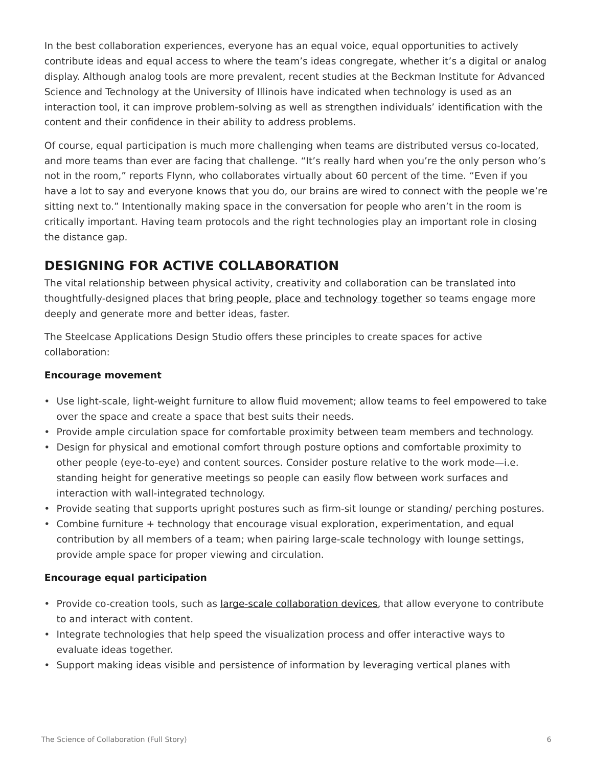In the best collaboration experiences, everyone has an equal voice, equal opportunities to actively contribute ideas and equal access to where the team's ideas congregate, whether it's a digital or analog display. Although analog tools are more prevalent, recent studies at the Beckman Institute for Advanced Science and Technology at the University of Illinois have indicated when technology is used as an interaction tool, it can improve problem-solving as well as strengthen individuals' identification with the content and their confidence in their ability to address problems.

Of course, equal participation is much more challenging when teams are distributed versus co-located, and more teams than ever are facing that challenge. "It's really hard when you're the only person who's not in the room," reports Flynn, who collaborates virtually about 60 percent of the time. "Even if you have a lot to say and everyone knows that you do, our brains are wired to connect with the people we're sitting next to." Intentionally making space in the conversation for people who aren't in the room is critically important. Having team protocols and the right technologies play an important role in closing the distance gap.

## **DESIGNING FOR ACTIVE COLLABORATION**

The vital relationship between physical activity, creativity and collaboration can be translated into thoughtfully-designed places that [bring people, place and technology together](http://www.steelcase.com/360-roam) so teams engage more deeply and generate more and better ideas, faster.

The Steelcase Applications Design Studio offers these principles to create spaces for active collaboration:

### **Encourage movement**

- Use light-scale, light-weight furniture to allow fluid movement; allow teams to feel empowered to take over the space and create a space that best suits their needs.
- Provide ample circulation space for comfortable proximity between team members and technology.
- Design for physical and emotional comfort through posture options and comfortable proximity to other people (eye-to-eye) and content sources. Consider posture relative to the work mode—i.e. standing height for generative meetings so people can easily flow between work surfaces and interaction with wall-integrated technology.
- Provide seating that supports upright postures such as firm-sit lounge or standing/ perching postures.
- Combine furniture + technology that encourage visual exploration, experimentation, and equal contribution by all members of a team; when pairing large-scale technology with lounge settings, provide ample space for proper viewing and circulation.

### **Encourage equal participation**

- Provide co-creation tools, such as [large-scale collaboration devices](http://www.steelcase.com/roam), that allow everyone to contribute to and interact with content.
- Integrate technologies that help speed the visualization process and offer interactive ways to evaluate ideas together.
- Support making ideas visible and persistence of information by leveraging vertical planes with